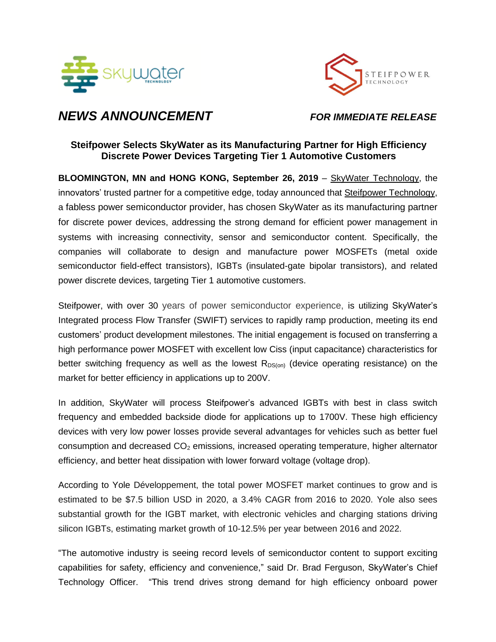



# *NEWS ANNOUNCEMENT FOR IMMEDIATE RELEASE*

# **Steifpower Selects SkyWater as its Manufacturing Partner for High Efficiency Discrete Power Devices Targeting Tier 1 Automotive Customers**

**BLOOMINGTON, MN and HONG KONG, September 26, 2019** – SkyWater [Technology,](https://www.skywatertechnology.com/) the innovators' trusted partner for a competitive edge, today announced that Steifpower [Technology,](http://www.steifpower.com/) a fabless power semiconductor provider, has chosen SkyWater as its manufacturing partner for discrete power devices, addressing the strong demand for efficient power management in systems with increasing connectivity, sensor and semiconductor content. Specifically, the companies will collaborate to design and manufacture power MOSFETs (metal oxide semiconductor field-effect transistors), IGBTs (insulated-gate bipolar transistors), and related power discrete devices, targeting Tier 1 automotive customers.

Steifpower, with over 30 years of power semiconductor experience, is utilizing SkyWater's Integrated process Flow Transfer (SWIFT) services to rapidly ramp production, meeting its end customers' product development milestones. The initial engagement is focused on transferring a high performance power MOSFET with excellent low Ciss (input capacitance) characteristics for better switching frequency as well as the lowest  $R_{DS(0n)}$  (device operating resistance) on the market for better efficiency in applications up to 200V.

In addition, SkyWater will process Steifpower's advanced IGBTs with best in class switch frequency and embedded backside diode for applications up to 1700V. These high efficiency devices with very low power losses provide several advantages for vehicles such as better fuel consumption and decreased  $CO<sub>2</sub>$  emissions, increased operating temperature, higher alternator efficiency, and better heat dissipation with lower forward voltage (voltage drop).

According to Yole Développement, the total power MOSFET market continues to grow and is estimated to be \$7.5 billion USD in 2020, a 3.4% CAGR from 2016 to 2020. Yole also sees substantial growth for the IGBT market, with electronic vehicles and charging stations driving silicon IGBTs, estimating market growth of 10-12.5% per year between 2016 and 2022.

"The automotive industry is seeing record levels of semiconductor content to support exciting capabilities for safety, efficiency and convenience," said Dr. Brad Ferguson, SkyWater's Chief Technology Officer. "This trend drives strong demand for high efficiency onboard power